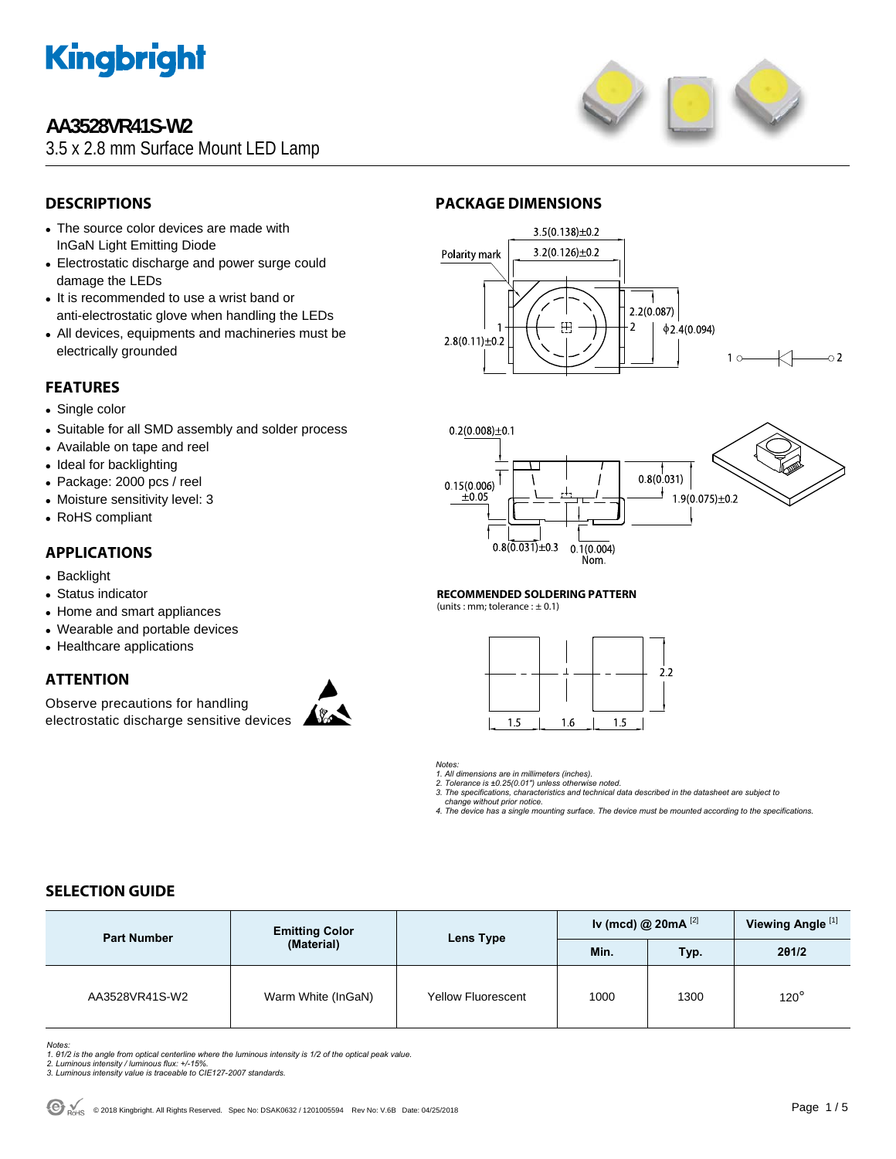

# **AA3528VR41S-W2**

3.5 x 2.8 mm Surface Mount LED Lamp



# **DESCRIPTIONS**

- The source color devices are made with InGaN Light Emitting Diode
- Electrostatic discharge and power surge could damage the LEDs
- It is recommended to use a wrist band or anti-electrostatic glove when handling the LEDs
- All devices, equipments and machineries must be electrically grounded

# **FEATURES**

- Single color
- Suitable for all SMD assembly and solder process
- Available on tape and reel
- Ideal for backlighting
- Package: 2000 pcs / reel
- Moisture sensitivity level: 3
- RoHS compliant

### **APPLICATIONS**

- Backlight
- Status indicator
- Home and smart appliances
- Wearable and portable devices
- Healthcare applications

## **ATTENTION**

Observe precautions for handling electrostatic discharge sensitive devices



# **PACKAGE DIMENSIONS**





#### **RECOMMENDED SOLDERING PATTERN**

(units : mm; tolerance :  $\pm$  0.1)



#### *Notes:*

*1. All dimensions are in millimeters (inches). 2. Tolerance is ±0.25(0.01") unless otherwise noted.* 

*3. The specifications, characteristics and technical data described in the datasheet are subject to* 

 *change without prior notice.* 

*4. The device has a single mounting surface. The device must be mounted according to the specifications.* 

# **SELECTION GUIDE**

| <b>Part Number</b> | <b>Emitting Color</b> | Lens Type                 | Iv (mcd) @ $20mA$ <sup>[2]</sup> | Viewing Angle <sup>[1]</sup> |             |
|--------------------|-----------------------|---------------------------|----------------------------------|------------------------------|-------------|
|                    | (Material)            |                           | Min.                             | Typ.                         | 201/2       |
| AA3528VR41S-W2     | Warm White (InGaN)    | <b>Yellow Fluorescent</b> | 1000                             | 1300                         | $120^\circ$ |

*Notes:* 

*1. θ1/2 is the angle from optical centerline where the luminous intensity is 1/2 of the optical peak value. 2. Luminous intensity / luminous flux: +/-15%.* 

- 
- *3. Luminous intensity value is traceable to CIE127-2007 standards.*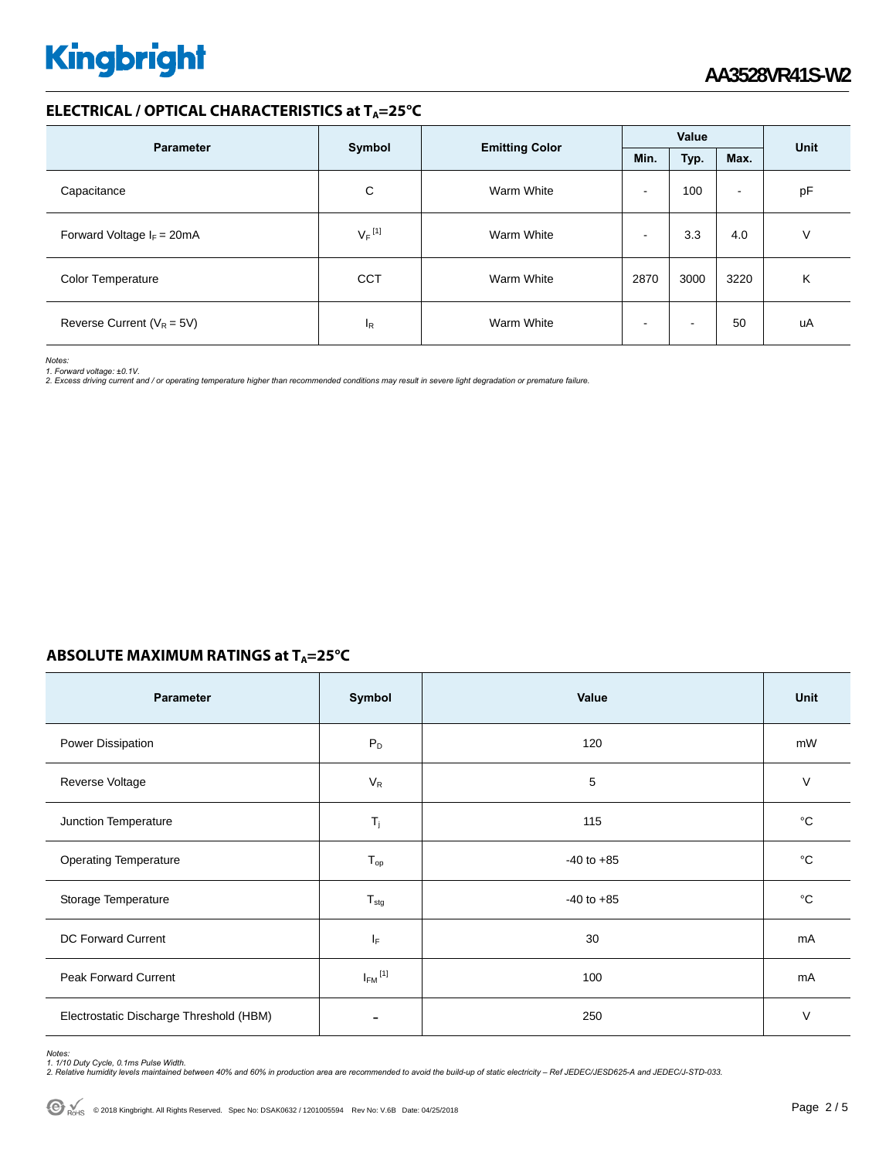## **ELECTRICAL / OPTICAL CHARACTERISTICS at TA=25°C**

| <b>Parameter</b>                     |                      |                       | Value                    |      |                | Unit |  |
|--------------------------------------|----------------------|-----------------------|--------------------------|------|----------------|------|--|
|                                      | Symbol               | <b>Emitting Color</b> | Min.                     | Typ. | Max.           |      |  |
| Capacitance                          | С                    | Warm White            | $\overline{\phantom{0}}$ | 100  | $\blacksquare$ | pF   |  |
| Forward Voltage $I_F = 20 \text{mA}$ | $V_F$ <sup>[1]</sup> | Warm White            | -                        | 3.3  | 4.0            | V    |  |
| Color Temperature                    | <b>CCT</b>           | Warm White            | 2870                     | 3000 | 3220           | Κ    |  |
| Reverse Current ( $V_R = 5V$ )       | ΙR                   | Warm White            |                          |      | 50             | uA   |  |

*Notes:* 

*1. Forward voltage: ±0.1V. 2. Excess driving current and / or operating temperature higher than recommended conditions may result in severe light degradation or premature failure.* 

# **ABSOLUTE MAXIMUM RATINGS at T<sub>A</sub>=25°C**

| Parameter                               | Symbol                  | Value          | <b>Unit</b> |
|-----------------------------------------|-------------------------|----------------|-------------|
| Power Dissipation                       | $P_D$                   | 120            | mW          |
| Reverse Voltage                         | $V_R$                   | 5              | $\vee$      |
| Junction Temperature                    | $T_j$                   | 115            | °C          |
| <b>Operating Temperature</b>            | $T_{op}$                | $-40$ to $+85$ | °C          |
| Storage Temperature                     | $T_{\text{stg}}$        | $-40$ to $+85$ | °C          |
| <b>DC Forward Current</b>               | IF.                     | 30             | mA          |
| Peak Forward Current                    | $I_{FM}$ <sup>[1]</sup> | 100            | mA          |
| Electrostatic Discharge Threshold (HBM) |                         | 250            | $\vee$      |

Notes:<br>1. 1/10 Duty Cycle, 0.1ms Pulse Width.<br>2. Relative humidity levels maintained between 40% and 60% in production area are recommended to avoid the build-up of static electricity – Ref JEDEC/JESD625-A and JEDEC/J-STD-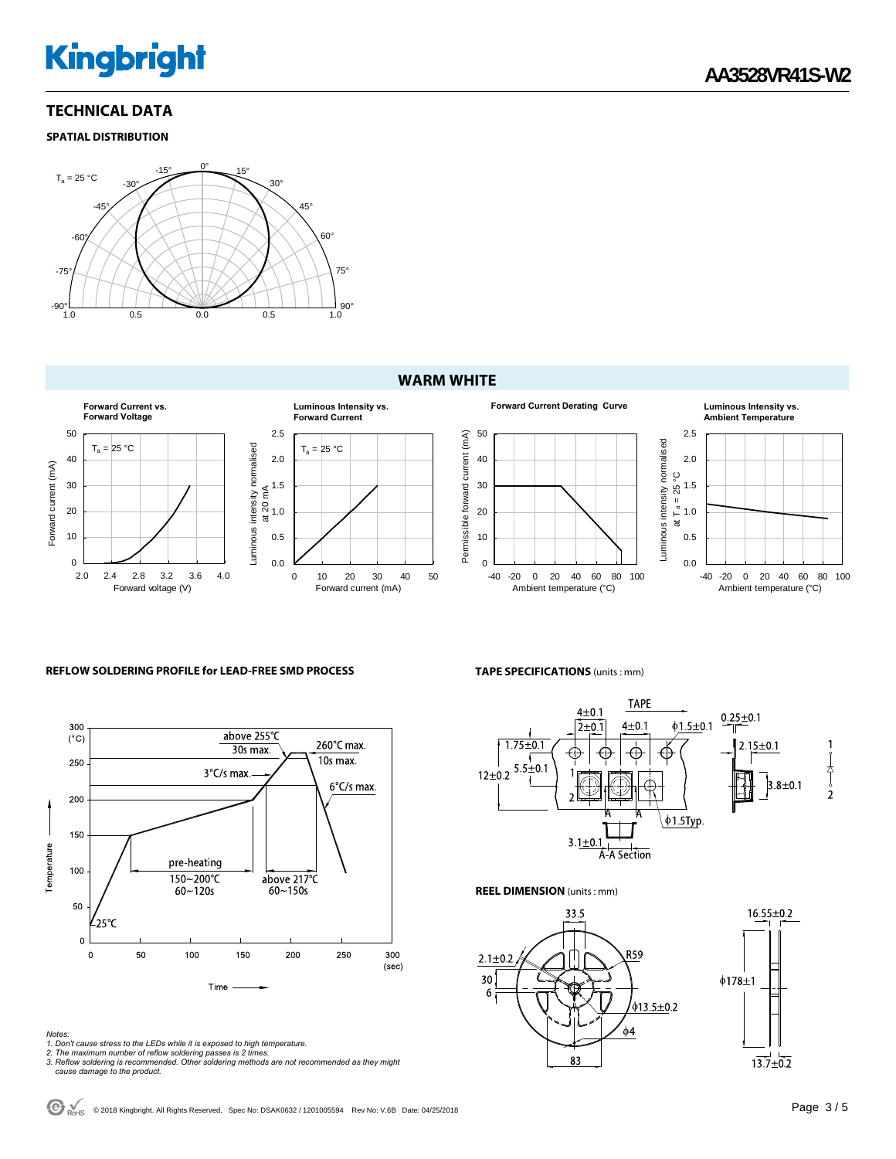# **TECHNICAL DATA**

#### **SPATIAL DISTRIBUTION**



### **WARM WHITE**



#### **REFLOW SOLDERING PROFILE for LEAD-FREE SMD PROCESS**



- 
- 
- Notes:<br>1. Don't cause stress to the LEDs while it is exposed to high temperature.<br>2. The maximum number of reflow soldering passes is 2 times.<br>3. Reflow soldering is recommended. Other soldering methods are not recommended

#### **TAPE SPECIFICATIONS** (units : mm)



**REEL DIMENSION** (units : mm)



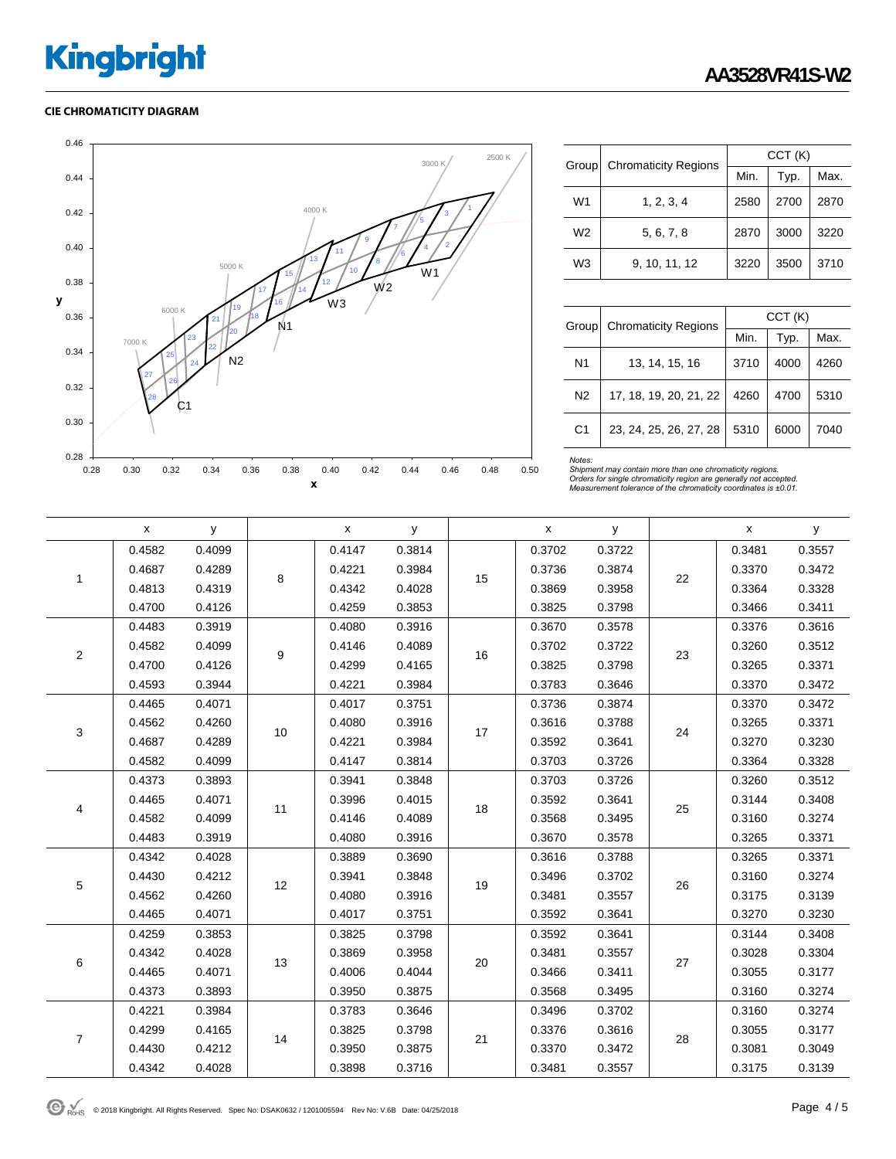#### **CIE CHROMATICITY DIAGRAM**



| Group          | <b>Chromaticity Regions</b> | CCT(K) |      |      |  |  |
|----------------|-----------------------------|--------|------|------|--|--|
|                |                             | Min.   | Typ. | Max. |  |  |
| W <sub>1</sub> | 1, 2, 3, 4                  | 2580   | 2700 | 2870 |  |  |
| W <sub>2</sub> | 5, 6, 7, 8                  | 2870   | 3000 | 3220 |  |  |
| W3             | 9, 10, 11, 12               | 3220   | 3500 | 3710 |  |  |

| Group          | <b>Chromaticity Regions</b> | CCT(K) |      |      |  |  |
|----------------|-----------------------------|--------|------|------|--|--|
|                |                             | Min.   | Typ. | Max. |  |  |
| N1             | 13, 14, 15, 16              | 3710   | 4000 | 4260 |  |  |
| N <sub>2</sub> | 17, 18, 19, 20, 21, 22      | 4260   | 4700 | 5310 |  |  |
| C <sub>1</sub> | 23, 24, 25, 26, 27, 28      | 5310   | 6000 | 7040 |  |  |

Notes:<br>Shipment may contain more than one chromaticity regions.<br>Orders for single chromaticity region are generally not accepted.<br>Measurement tolerance of the chromaticity coordinates is ±0.01.

|                | $\pmb{\mathsf{x}}$ | y      |    | $\pmb{\mathsf{X}}$ | У      |    | $\pmb{\mathsf{X}}$ | y      |    | x      | У      |
|----------------|--------------------|--------|----|--------------------|--------|----|--------------------|--------|----|--------|--------|
|                | 0.4582             | 0.4099 | 8  | 0.4147             | 0.3814 | 15 | 0.3702             | 0.3722 | 22 | 0.3481 | 0.3557 |
| 1              | 0.4687             | 0.4289 |    | 0.4221             | 0.3984 |    | 0.3736             | 0.3874 |    | 0.3370 | 0.3472 |
|                | 0.4813             | 0.4319 |    | 0.4342             | 0.4028 |    | 0.3869             | 0.3958 |    | 0.3364 | 0.3328 |
|                | 0.4700             | 0.4126 |    | 0.4259             | 0.3853 |    | 0.3825             | 0.3798 |    | 0.3466 | 0.3411 |
|                | 0.4483             | 0.3919 |    | 0.4080             | 0.3916 |    | 0.3670             | 0.3578 | 23 | 0.3376 | 0.3616 |
|                | 0.4582             | 0.4099 | 9  | 0.4146             | 0.4089 | 16 | 0.3702             | 0.3722 |    | 0.3260 | 0.3512 |
| $\overline{c}$ | 0.4700             | 0.4126 |    | 0.4299             | 0.4165 |    | 0.3825             | 0.3798 |    | 0.3265 | 0.3371 |
|                | 0.4593             | 0.3944 |    | 0.4221             | 0.3984 |    | 0.3783             | 0.3646 |    | 0.3370 | 0.3472 |
|                | 0.4465             | 0.4071 |    | 0.4017             | 0.3751 | 17 | 0.3736             | 0.3874 | 24 | 0.3370 | 0.3472 |
| 3              | 0.4562             | 0.4260 | 10 | 0.4080             | 0.3916 |    | 0.3616             | 0.3788 |    | 0.3265 | 0.3371 |
|                | 0.4687             | 0.4289 |    | 0.4221             | 0.3984 |    | 0.3592             | 0.3641 |    | 0.3270 | 0.3230 |
|                | 0.4582             | 0.4099 |    | 0.4147             | 0.3814 |    | 0.3703             | 0.3726 |    | 0.3364 | 0.3328 |
|                | 0.4373             | 0.3893 | 11 | 0.3941             | 0.3848 | 18 | 0.3703             | 0.3726 | 25 | 0.3260 | 0.3512 |
| 4              | 0.4465             | 0.4071 |    | 0.3996             | 0.4015 |    | 0.3592             | 0.3641 |    | 0.3144 | 0.3408 |
|                | 0.4582             | 0.4099 |    | 0.4146             | 0.4089 |    | 0.3568             | 0.3495 |    | 0.3160 | 0.3274 |
|                | 0.4483             | 0.3919 |    | 0.4080             | 0.3916 |    | 0.3670             | 0.3578 |    | 0.3265 | 0.3371 |
|                | 0.4342             | 0.4028 |    | 0.3889             | 0.3690 | 19 | 0.3616             | 0.3788 | 26 | 0.3265 | 0.3371 |
|                | 0.4430             | 0.4212 | 12 | 0.3941             | 0.3848 |    | 0.3496             | 0.3702 |    | 0.3160 | 0.3274 |
| $\,$ 5 $\,$    | 0.4562             | 0.4260 |    | 0.4080             | 0.3916 |    | 0.3481             | 0.3557 |    | 0.3175 | 0.3139 |
|                | 0.4465             | 0.4071 |    | 0.4017             | 0.3751 |    | 0.3592             | 0.3641 |    | 0.3270 | 0.3230 |
|                | 0.4259             | 0.3853 |    | 0.3825             | 0.3798 |    | 0.3592             | 0.3641 | 27 | 0.3144 | 0.3408 |
| 6              | 0.4342             | 0.4028 | 13 | 0.3869             | 0.3958 | 20 | 0.3481             | 0.3557 |    | 0.3028 | 0.3304 |
|                | 0.4465             | 0.4071 |    | 0.4006             | 0.4044 |    | 0.3466             | 0.3411 |    | 0.3055 | 0.3177 |
|                | 0.4373             | 0.3893 |    | 0.3950             | 0.3875 |    | 0.3568             | 0.3495 |    | 0.3160 | 0.3274 |
| $\overline{7}$ | 0.4221             | 0.3984 |    | 0.3783             | 0.3646 |    | 0.3496             | 0.3702 | 28 | 0.3160 | 0.3274 |
|                | 0.4299             | 0.4165 | 14 | 0.3825             | 0.3798 | 21 | 0.3376             | 0.3616 |    | 0.3055 | 0.3177 |
|                | 0.4430             | 0.4212 |    | 0.3950             | 0.3875 |    | 0.3370             | 0.3472 |    | 0.3081 | 0.3049 |
|                | 0.4342             | 0.4028 |    | 0.3898             | 0.3716 |    | 0.3481             | 0.3557 |    | 0.3175 | 0.3139 |